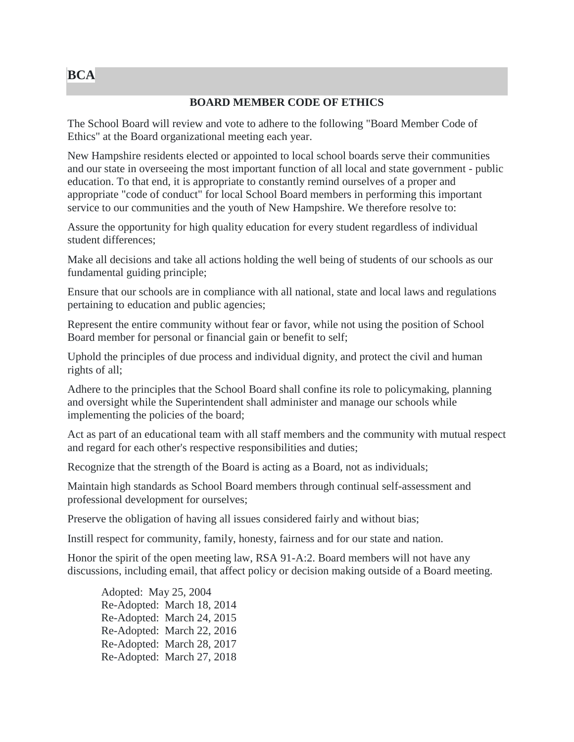## **BCA**

## **BOARD MEMBER CODE OF ETHICS**

The School Board will review and vote to adhere to the following "Board Member Code of Ethics" at the Board organizational meeting each year.

New Hampshire residents elected or appointed to local school boards serve their communities and our state in overseeing the most important function of all local and state government - public education. To that end, it is appropriate to constantly remind ourselves of a proper and appropriate "code of conduct" for local School Board members in performing this important service to our communities and the youth of New Hampshire. We therefore resolve to:

Assure the opportunity for high quality education for every student regardless of individual student differences;

Make all decisions and take all actions holding the well being of students of our schools as our fundamental guiding principle;

Ensure that our schools are in compliance with all national, state and local laws and regulations pertaining to education and public agencies;

Represent the entire community without fear or favor, while not using the position of School Board member for personal or financial gain or benefit to self;

Uphold the principles of due process and individual dignity, and protect the civil and human rights of all;

Adhere to the principles that the School Board shall confine its role to policymaking, planning and oversight while the Superintendent shall administer and manage our schools while implementing the policies of the board;

Act as part of an educational team with all staff members and the community with mutual respect and regard for each other's respective responsibilities and duties;

Recognize that the strength of the Board is acting as a Board, not as individuals;

Maintain high standards as School Board members through continual self-assessment and professional development for ourselves;

Preserve the obligation of having all issues considered fairly and without bias;

Instill respect for community, family, honesty, fairness and for our state and nation.

Honor the spirit of the open meeting law, RSA 91-A:2. Board members will not have any discussions, including email, that affect policy or decision making outside of a Board meeting.

Adopted: May 25, 2004 Re-Adopted: March 18, 2014 Re-Adopted: March 24, 2015 Re-Adopted: March 22, 2016 Re-Adopted: March 28, 2017 Re-Adopted: March 27, 2018